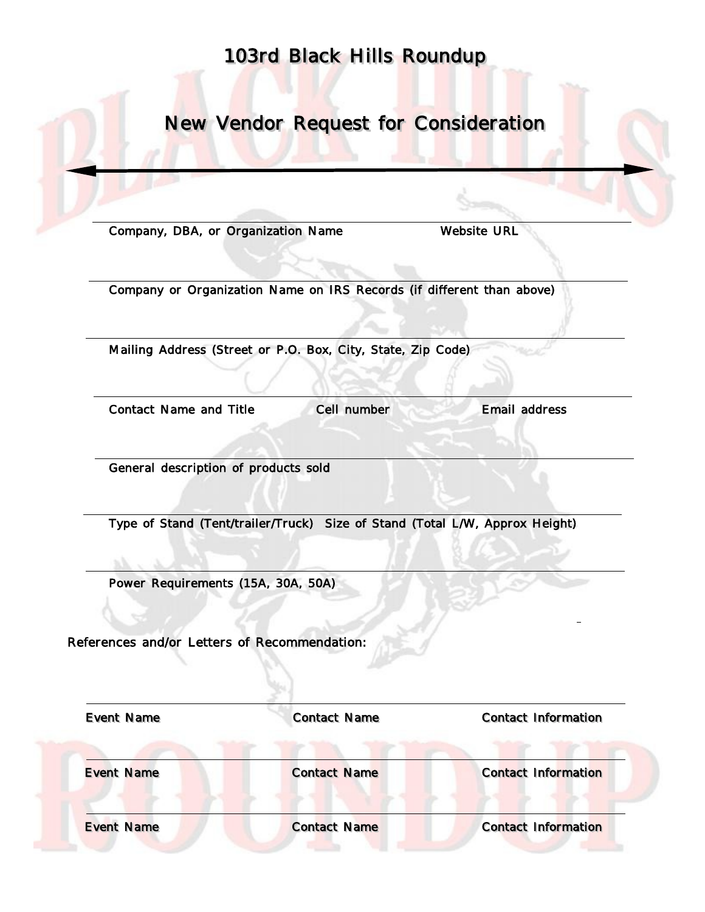## 103rd Black Hills Roundup

New Vendor Request for Consideration

Company, DBA, or Organization Name Website URL

Company or Organization Name on IRS Records (if different than above)

Mailing Address (Street or P.O. Box, City, State, Zip Code)

Contact Name and Title Cell number Email address

General description of products sold

Type of Stand (Tent/trailer/Truck) Size of Stand (Total L/W, Approx Height)

Power Requirements (15A, 30A, 50A)

References and/or Letters of Recommendation:

 Event Name Contact Name Contact Information Event Name Contact Name Contact Information Event Name Contact Name Contact Information